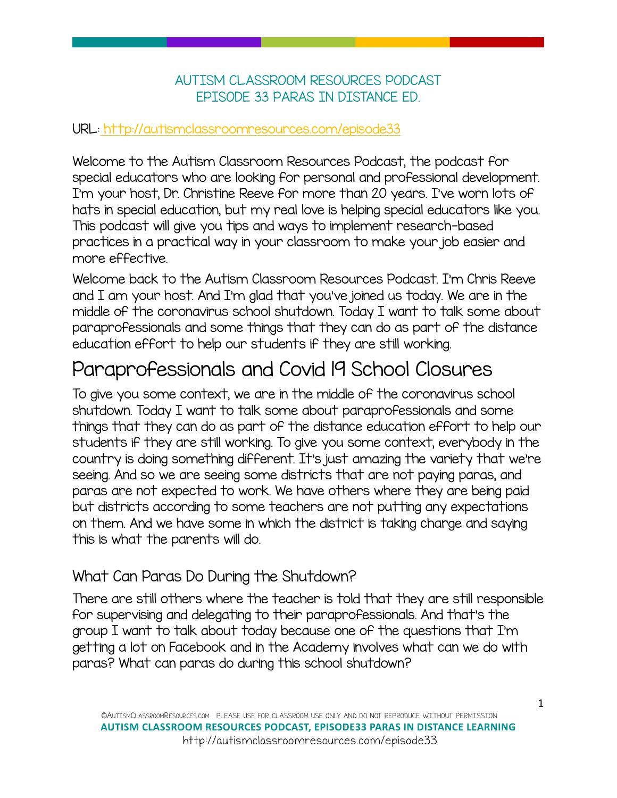#### AUTISM CLASSROOM RESOURCES PODCAST EPISODE 33 PARAS IN DISTANCE ED.

#### URL[: http://autismclassroomresources.com/episode33](http://autismclassroomresources.com/episode33)

Welcome to the Autism Classroom Resources Podcast, the podcast for special educators who are looking for personal and professional development. I'm your host, Dr. Christine Reeve for more than 20 years. I've worn lots of hats in special education, but my real love is helping special educators like you. This podcast will give you tips and ways to implement research-based practices in a practical way in your classroom to make your job easier and more effective.

Welcome back to the Autism Classroom Resources Podcast. I'm Chris Reeve and I am your host. And I'm glad that you've joined us today. We are in the middle of the coronavirus school shutdown. Today I want to talk some about paraprofessionals and some things that they can do as part of the distance education effort to help our students if they are still working.

### Paraprofessionals and Covid 19 School Closures

To give you some context, we are in the middle of the coronavirus school shutdown. Today I want to talk some about paraprofessionals and some things that they can do as part of the distance education effort to help our students if they are still working. To give you some context, everybody in the country is doing something different. It's just amazing the variety that we're seeing. And so we are seeing some districts that are not paying paras, and paras are not expected to work. We have others where they are being paid but districts according to some teachers are not putting any expectations on them. And we have some in which the district is taking charge and saying this is what the parents will do.

### What Can Paras Do During the Shutdown?

There are still others where the teacher is told that they are still responsible for supervising and delegating to their paraprofessionals. And that's the group I want to talk about today because one of the questions that I'm getting a lot on Facebook and in the Academy involves what can we do with paras? What can paras do during this school shutdown?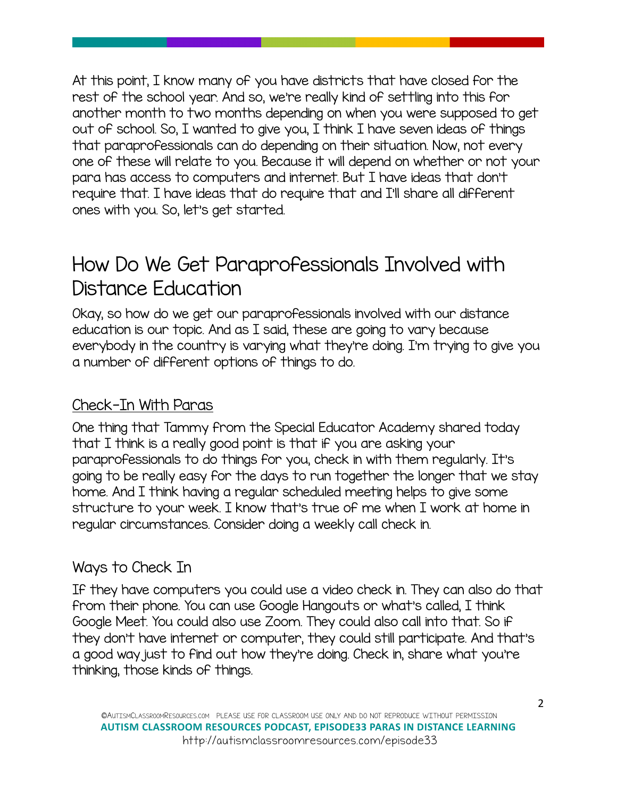At this point, I know many of you have districts that have closed for the rest of the school year. And so, we're really kind of settling into this for another month to two months depending on when you were supposed to get out of school. So, I wanted to give you, I think I have seven ideas of things that paraprofessionals can do depending on their situation. Now, not every one of these will relate to you. Because it will depend on whether or not your para has access to computers and internet. But I have ideas that don't require that. I have ideas that do require that and I'll share all different ones with you. So, let's get started.

### How Do We Get Paraprofessionals Involved with Distance Education

Okay, so how do we get our paraprofessionals involved with our distance education is our topic. And as I said, these are going to vary because everybody in the country is varying what they're doing. I'm trying to give you a number of different options of things to do.

### Check-In With Paras

One thing that Tammy from the Special Educator Academy shared today that I think is a really good point is that if you are asking your paraprofessionals to do things for you, check in with them regularly. It's going to be really easy for the days to run together the longer that we stay home. And I think having a regular scheduled meeting helps to give some structure to your week. I know that's true of me when I work at home in regular circumstances. Consider doing a weekly call check in.

#### Ways to Check In

If they have computers you could use a video check in. They can also do that from their phone. You can use Google Hangouts or what's called, I think Google Meet. You could also use Zoom. They could also call into that. So if they don't have internet or computer, they could still participate. And that's a good way just to find out how they're doing. Check in, share what you're thinking, those kinds of things.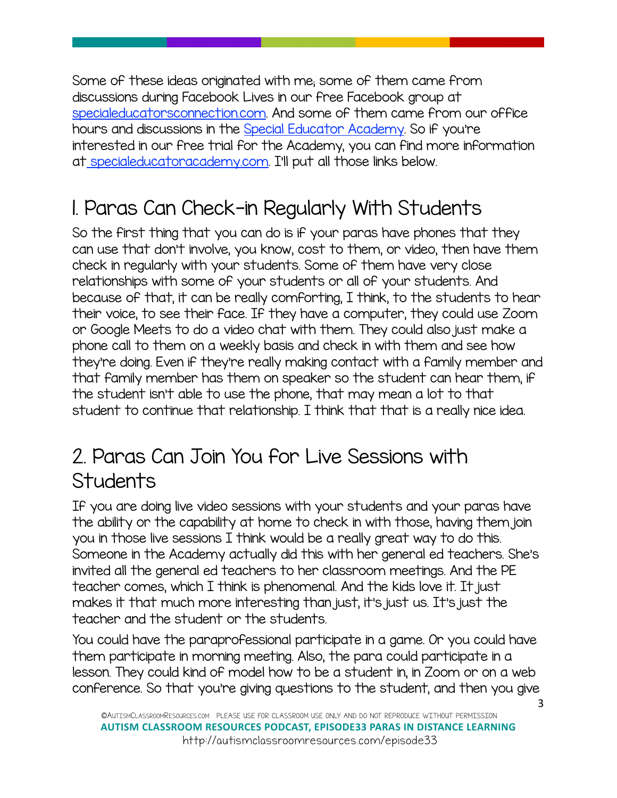Some of these ideas originated with me; some of them came from discussions during Facebook Lives in our free Facebook group at [specialeducatorsconnection.com](http://specialeducatorsconnection.com%22%20%5Ct%20%22_blank). And some of them came from our office hours and discussions in the [Special Educator Academy](http://specialeducatorsconnection.com%22%20%5Ct%20%22_blank). So if you're interested in our free trial for the Academy, you can find more information a[t specialeducatoracademy.com.](https://specialeducatoracademy.com) I'll put all those links below.

## 1. Paras Can Check-in Regularly With Students

So the first thing that you can do is if your paras have phones that they can use that don't involve, you know, cost to them, or video, then have them check in regularly with your students. Some of them have very close relationships with some of your students or all of your students. And because of that, it can be really comforting, I think, to the students to hear their voice, to see their face. If they have a computer, they could use Zoom or Google Meets to do a video chat with them. They could also just make a phone call to them on a weekly basis and check in with them and see how they're doing. Even if they're really making contact with a family member and that family member has them on speaker so the student can hear them, if the student isn't able to use the phone, that may mean a lot to that student to continue that relationship. I think that that is a really nice idea.

### 2. Paras Can Join You for Live Sessions with **Students**

If you are doing live video sessions with your students and your paras have the ability or the capability at home to check in with those, having them join you in those live sessions I think would be a really great way to do this. Someone in the Academy actually did this with her general ed teachers. She's invited all the general ed teachers to her classroom meetings. And the PE teacher comes, which I think is phenomenal. And the kids love it. It just makes it that much more interesting than just, it's just us. It's just the teacher and the student or the students.

You could have the paraprofessional participate in a game. Or you could have them participate in morning meeting. Also, the para could participate in a lesson. They could kind of model how to be a student in, in Zoom or on a web conference. So that you're giving questions to the student, and then you give

3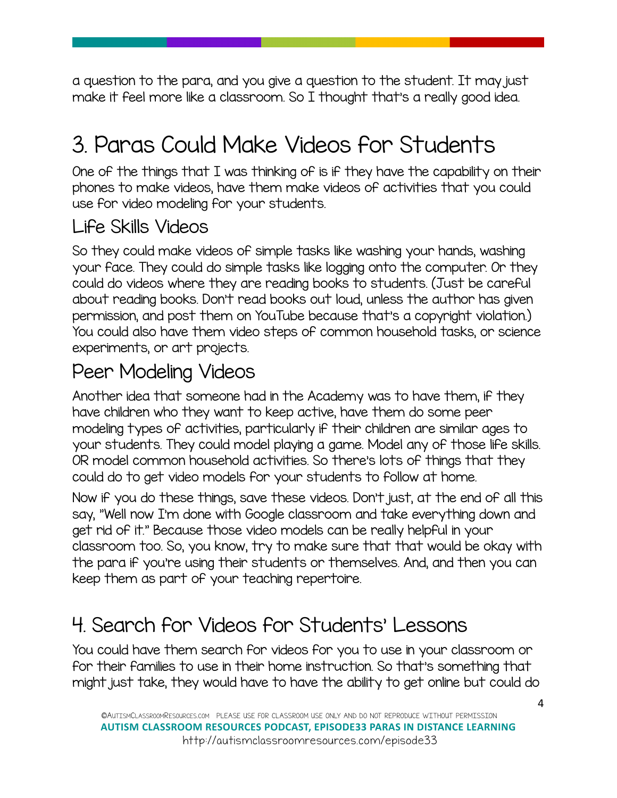a question to the para, and you give a question to the student. It may just make it feel more like a classroom. So I thought that's a really good idea.

# 3. Paras Could Make Videos for Students

One of the things that I was thinking of is if they have the capability on their phones to make videos, have them make videos of activities that you could use for video modeling for your students.

### Life Skills Videos

So they could make videos of simple tasks like washing your hands, washing your face. They could do simple tasks like logging onto the computer. Or they could do videos where they are reading books to students. (Just be careful about reading books. Don't read books out loud, unless the author has given permission, and post them on YouTube because that's a copyright violation.) You could also have them video steps of common household tasks, or science experiments, or art projects.

### Peer Modeling Videos

Another idea that someone had in the Academy was to have them, if they have children who they want to keep active, have them do some peer modeling types of activities, particularly if their children are similar ages to your students. They could model playing a game. Model any of those life skills. OR model common household activities. So there's lots of things that they could do to get video models for your students to follow at home.

Now if you do these things, save these videos. Don't just, at the end of all this say, "Well now I'm done with Google classroom and take everything down and get rid of it." Because those video models can be really helpful in your classroom too. So, you know, try to make sure that that would be okay with the para if you're using their students or themselves. And, and then you can keep them as part of your teaching repertoire.

## 4. Search for Videos for Students' Lessons

You could have them search for videos for you to use in your classroom or for their families to use in their home instruction. So that's something that might just take, they would have to have the ability to get online but could do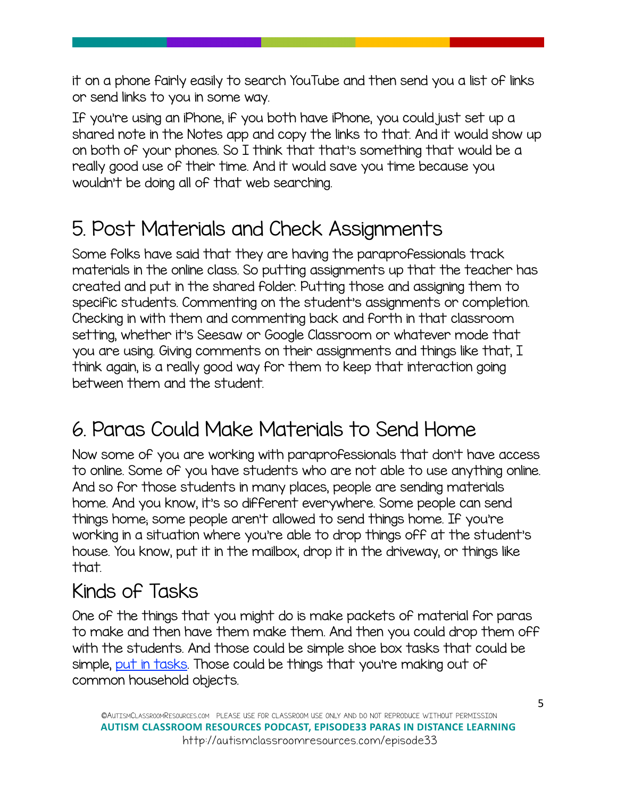it on a phone fairly easily to search YouTube and then send you a list of links or send links to you in some way.

If you're using an iPhone, if you both have iPhone, you could just set up a shared note in the Notes app and copy the links to that. And it would show up on both of your phones. So I think that that's something that would be a really good use of their time. And it would save you time because you wouldn't be doing all of that web searching.

## 5. Post Materials and Check Assignments

Some folks have said that they are having the paraprofessionals track materials in the online class. So putting assignments up that the teacher has created and put in the shared folder. Putting those and assigning them to specific students. Commenting on the student's assignments or completion. Checking in with them and commenting back and forth in that classroom setting, whether it's Seesaw or Google Classroom or whatever mode that you are using. Giving comments on their assignments and things like that, I think again, is a really good way for them to keep that interaction going between them and the student.

## 6. Paras Could Make Materials to Send Home

Now some of you are working with paraprofessionals that don't have access to online. Some of you have students who are not able to use anything online. And so for those students in many places, people are sending materials home. And you know, it's so different everywhere. Some people can send things home; some people aren't allowed to send things home. If you're working in a situation where you're able to drop things off at the student's house. You know, put it in the mailbox, drop it in the driveway, or things like that.

### Kinds of Tasks

One of the things that you might do is make packets of material for paras to make and then have them make them. And then you could drop them off with the students. And those could be simple shoe box tasks that could be simple, [put in tasks.](https://autismclassroomresources.com/put-in-tasks-beginning-of-independen/%22%20%5Ct%20%22_blank) Those could be things that you're making out of common household objects.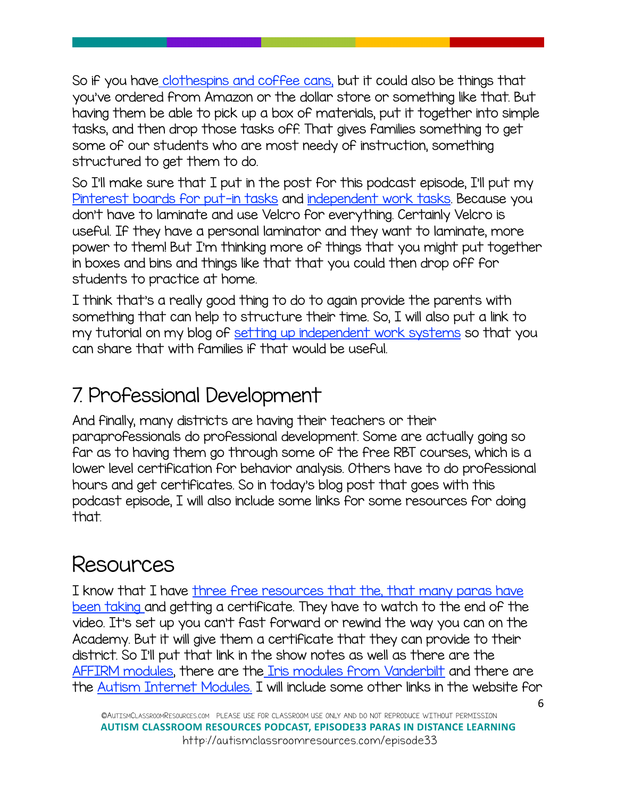So if you hav[e clothespins and coffee cans,](https://autismclassroomresources.com/put-tasks-workbasket-wednesday-may-2016/%22%20%5Ct%20%22_blank) but it could also be things that you've ordered from Amazon or the dollar store or something like that. But having them be able to pick up a box of materials, put it together into simple tasks, and then drop those tasks off. That gives families something to get some of our students who are most needy of instruction, something structured to get them to do.

So I'll make sure that I put in the post for this podcast episode, I'll put my [Pinterest boards for put-in tasks](https://www.pinterest.com/AutismClassNews/put-in-workbox-resources-for-sped-autism-classroom/%22%20%5Ct%20%22_blank) and [independent work tasks](https://www.pinterest.com/AutismClassNews/autism-classroom-independent-work-task-resources/%22%20%5Ct%20%22_blank). Because you don't have to laminate and use Velcro for everything. Certainly Velcro is useful. If they have a personal laminator and they want to laminate, more power to them! But I'm thinking more of things that you might put together in boxes and bins and things like that that you could then drop off for students to practice at home.

I think that's a really good thing to do to again provide the parents with something that can help to structure their time. So, I will also put a link to my tutorial on my blog of [setting up independent work systems](https://autismclassroomresources.com/setup-independent-work-2/%22%20%5Ct%20%22_blank) so that you can share that with families if that would be useful.

### 7. Professional Development

And finally, many districts are having their teachers or their paraprofessionals do professional development. Some are actually going so far as to having them go through some of the free RBT courses, which is a lower level certification for behavior analysis. Others have to do professional hours and get certificates. So in today's blog post that goes with this podcast episode, I will also include some links for some resources for doing that.

## Resources

I know that I have [three free resources that the, that many paras have](https://autismclassroomresources.com/free-special-education-webinars/%22%20%5Ct%20%22_blank)  [been taking a](https://autismclassroomresources.com/free-special-education-webinars/%22%20%5Ct%20%22_blank)nd getting a certificate. They have to watch to the end of the video. It's set up you can't fast forward or rewind the way you can on the Academy. But it will give them a certificate that they can provide to their district. So I'll put that link in the show notes as well as there are the [AFFIRM modules,](https://afirm.fpg.unc.edu/afirm-modules%22%20%5Ct%20%22_blank) there are the [Iris modules from Vanderbilt](https://iris.peabody.vanderbilt.edu/%22%20%5Ct%20%22_blank) and there are the [Autism Internet Modules.](https://autisminternetmodules.org/%22%20%5Ct%20%22_blank) I will include some other links in the website for